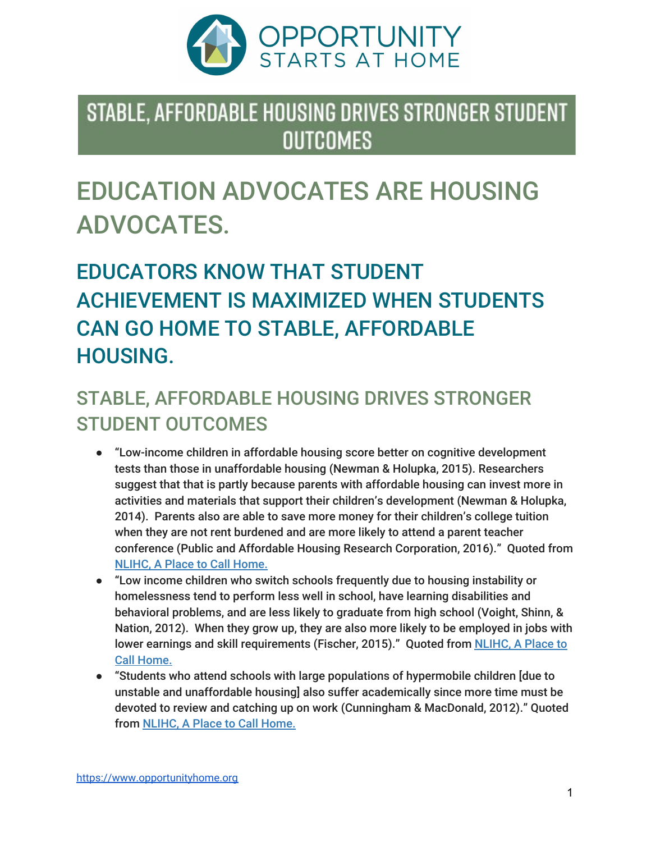

### STABLE, AFFORDABLE HOUSING DRIVES STRONGER STUDENT **OUTCOMES**

# EDUCATION ADVOCATES ARE HOUSING ADVOCATES.

## EDUCATORS KNOW THAT STUDENT ACHIEVEMENT IS MAXIMIZED WHEN STUDENTS CAN GO HOME TO STABLE, AFFORDABLE HOUSING.

#### STABLE, AFFORDABLE HOUSING DRIVES STRONGER STUDENT OUTCOMES

- "Low-income children in affordable housing score better on cognitive development tests than those in unaffordable housing (Newman & Holupka, 2015). Researchers suggest that that is partly because parents with affordable housing can invest more in activities and materials that support their children's development (Newman & Holupka, 2014). Parents also are able to save more money for their children's college tuition when they are not rent burdened and are more likely to attend a parent teacher conference (Public and Affordable Housing Research Corporation, 2016)." Quoted from [NLIHC,](http://nlihc.org/sites/default/files/A-Place-To-Call-Home.pdf) A Place to Call Home.
- "Low income children who switch schools frequently due to housing instability or homelessness tend to perform less well in school, have learning disabilities and behavioral problems, and are less likely to graduate from high school (Voight, Shinn, & Nation, 2012). When they grow up, they are also more likely to be employed in jobs with lower earnings and skill requirements (Fischer, 2015)." Quoted from [NLIHC,](http://nlihc.org/sites/default/files/A-Place-To-Call-Home.pdf) A Place to Call [Home.](http://nlihc.org/sites/default/files/A-Place-To-Call-Home.pdf)
- "Students who attend schools with large populations of hypermobile children [due to unstable and unaffordable housing] also suffer academically since more time must be devoted to review and catching up on work (Cunningham & MacDonald, 2012)." Quoted from [NLIHC,](http://nlihc.org/sites/default/files/A-Place-To-Call-Home.pdf) A Place to Call Home.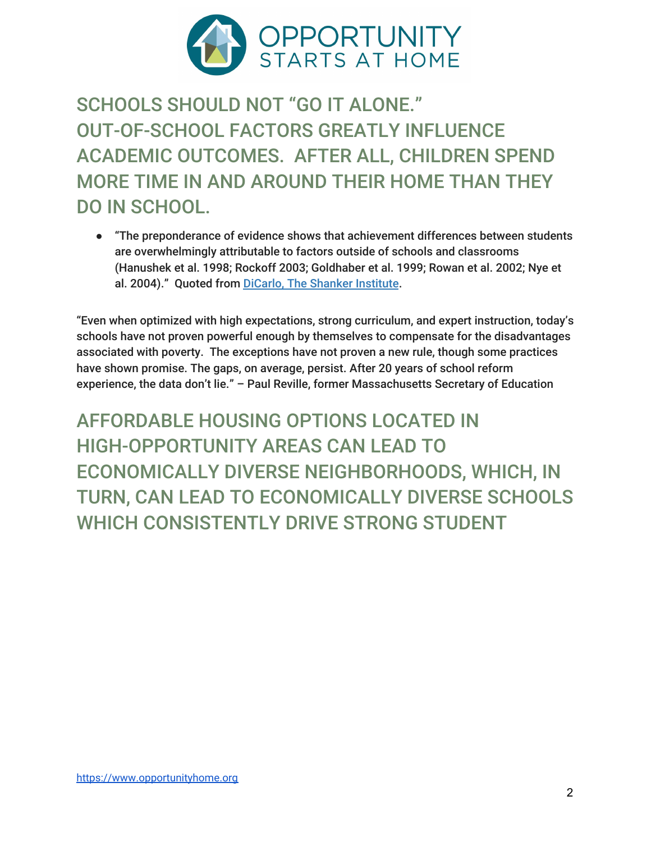

SCHOOLS SHOULD NOT "GO IT ALONE." OUT-OF-SCHOOL FACTORS GREATLY INFLUENCE ACADEMIC OUTCOMES. AFTER ALL, CHILDREN SPEND MORE TIME IN AND AROUND THEIR HOME THAN THEY DO IN SCHOOL.

● "The preponderance of evidence shows that achievement differences between students are overwhelmingly attributable to factors outside of schools and classrooms (Hanushek et al. 1998; Rockoff 2003; Goldhaber et al. 1999; Rowan et al. 2002; Nye et al. 2004)." Quoted from DiCarlo, The Shanker [Institute](http://www.shankerinstitute.org/blog/teachers-matter-so-do-words).

"Even when optimized with high expectations, strong curriculum, and expert instruction, today's schools have not proven powerful enough by themselves to compensate for the disadvantages associated with poverty. The exceptions have not proven a new rule, though some practices have shown promise. The gaps, on average, persist. After 20 years of school reform experience, the data don't lie." – Paul Reville, former Massachusetts Secretary of Education

AFFORDABLE HOUSING OPTIONS LOCATED IN HIGH-OPPORTUNITY AREAS CAN LEAD TO ECONOMICALLY DIVERSE NEIGHBORHOODS, WHICH, IN TURN, CAN LEAD TO ECONOMICALLY DIVERSE SCHOOLS WHICH CONSISTENTLY DRIVE STRONG STUDENT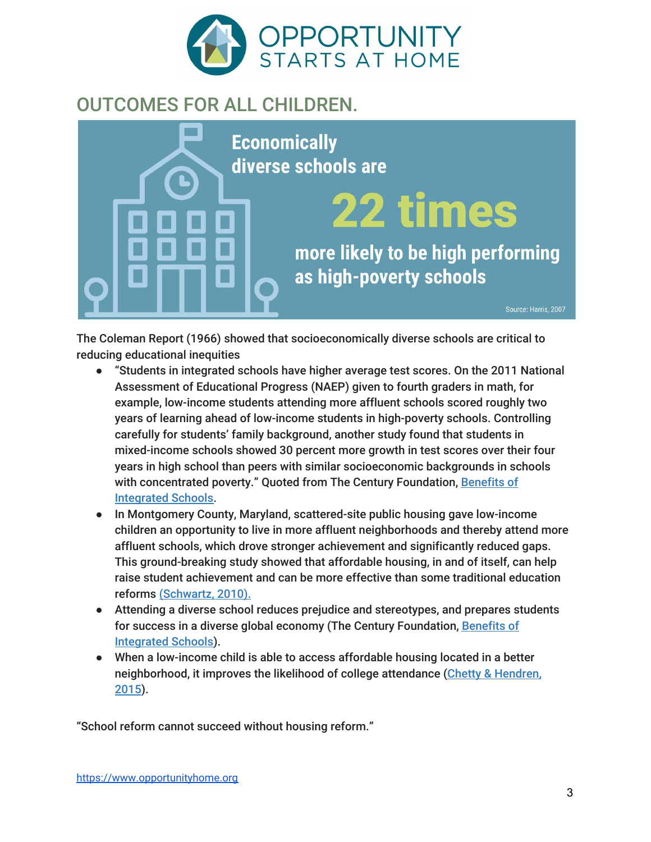

#### OUTCOMES FOR ALL CHILDREN.



The Coleman Report (1966) showed that socioeconomically diverse schools are critical to reducing educational inequities

- "Students in integrated schools have higher average test scores. On the 2011 National Assessment of Educational Progress (NAEP) given to fourth graders in math, for example, low-income students attending more affluent schools scored roughly two years of learning ahead of low-income students in high-poverty schools. Controlling carefully for students' family background, another study found that students in mixed-income schools showed 30 percent more growth in test scores over their four years in high school than peers with similar socioeconomic backgrounds in schools with concentrated poverty." Quoted from The Century Foundation, [Benefits](https://tcf.org/content/facts/the-benefits-of-socioeconomically-and-racially-integrated-schools-and-classrooms/) of [Integrated](https://tcf.org/content/facts/the-benefits-of-socioeconomically-and-racially-integrated-schools-and-classrooms/) Schools.
- In Montgomery County, Maryland, scattered-site public housing gave low-income children an opportunity to live in more affluent neighborhoods and thereby attend more affluent schools, which drove stronger achievement and significantly reduced gaps. This ground-breaking study showed that affordable housing, in and of itself, can help raise student achievement and can be more effective than some traditional education reforms [\(Schwartz,](https://tcf.org/assets/downloads/tcf-Schwartz.pdf) 2010).
- Attending a diverse school reduces prejudice and stereotypes, and prepares students for success in a diverse global economy (The Century Foundation, [Benefits](https://tcf.org/content/facts/the-benefits-of-socioeconomically-and-racially-integrated-schools-and-classrooms/) of [Integrated](https://tcf.org/content/facts/the-benefits-of-socioeconomically-and-racially-integrated-schools-and-classrooms/) Schools).
- When a low-income child is able to access affordable housing located in a better neighborhood, it improves the likelihood of college attendance (Chetty & [Hendren,](http://www.nber.org/papers/w21156) [2015\)](http://www.nber.org/papers/w21156).

"School reform cannot succeed without housing reform."